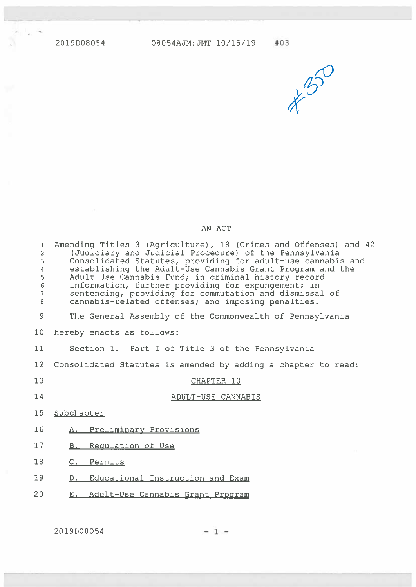4!



## AN ACT

| $\mathbf{1}$<br>$\overline{2}$<br>3<br>4<br>5<br>$\mathsf 6$<br>$\overline{7}$<br>8 | Amending Titles 3 (Agriculture), 18 (Crimes and Offenses) and 42<br>(Judiciary and Judicial Procedure) of the Pennsylvania<br>Consolidated Statutes, providing for adult-use cannabis and<br>establishing the Adult-Use Cannabis Grant Program and the<br>Adult-Use Cannabis Fund; in criminal history record<br>information, further providing for expungement; in<br>sentencing, providing for commutation and dismissal of<br>cannabis-related offenses; and imposing penalties. |
|-------------------------------------------------------------------------------------|-------------------------------------------------------------------------------------------------------------------------------------------------------------------------------------------------------------------------------------------------------------------------------------------------------------------------------------------------------------------------------------------------------------------------------------------------------------------------------------|
| 9                                                                                   | The General Assembly of the Commonwealth of Pennsylvania                                                                                                                                                                                                                                                                                                                                                                                                                            |
| 10 <sub>1</sub>                                                                     | hereby enacts as follows:                                                                                                                                                                                                                                                                                                                                                                                                                                                           |
| 11                                                                                  | Section 1. Part I of Title 3 of the Pennsylvania                                                                                                                                                                                                                                                                                                                                                                                                                                    |
| 12 <sup>12</sup>                                                                    | Consolidated Statutes is amended by adding a chapter to read:                                                                                                                                                                                                                                                                                                                                                                                                                       |
| 13                                                                                  | CHAPTER 10                                                                                                                                                                                                                                                                                                                                                                                                                                                                          |
| 14                                                                                  | ADULT-USE CANNABIS                                                                                                                                                                                                                                                                                                                                                                                                                                                                  |
| 15 <sub>1</sub>                                                                     | Subchapter                                                                                                                                                                                                                                                                                                                                                                                                                                                                          |
| 16                                                                                  | A. Preliminary Provisions                                                                                                                                                                                                                                                                                                                                                                                                                                                           |
| 17                                                                                  | Requlation of Use<br>B.                                                                                                                                                                                                                                                                                                                                                                                                                                                             |
| 18                                                                                  | C. Permits                                                                                                                                                                                                                                                                                                                                                                                                                                                                          |
| 19                                                                                  | D. Educational Instruction and Exam                                                                                                                                                                                                                                                                                                                                                                                                                                                 |
| 20                                                                                  | Adult-Use Cannabis Grant Program<br>$E_{\star}$                                                                                                                                                                                                                                                                                                                                                                                                                                     |
|                                                                                     |                                                                                                                                                                                                                                                                                                                                                                                                                                                                                     |

 $2019D08054$  - 1 -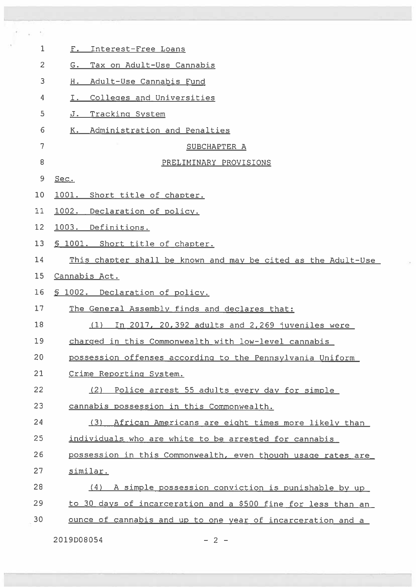| 1              | F. Interest-Free Loans                                        |
|----------------|---------------------------------------------------------------|
| $\overline{c}$ | G. Tax on Adult-Use Cannabis                                  |
| 3              | Adult-Use Cannabis Fund<br>н.                                 |
| 4              | Colleges and Universities<br>I.                               |
| 5              | J. Tracking System                                            |
| 6              | K. Administration and Penalties                               |
| 7              | SUBCHAPTER A                                                  |
| 8              | PRELIMINARY PROVISIONS                                        |
| 9              | Sec.                                                          |
| 10             | 1001. Short title of chapter.                                 |
| 11             | 1002. Declaration of policy.                                  |
| 12             | 1003. Definitions.                                            |
| 13             | § 1001. Short title of chapter.                               |
| 14             | This chapter shall be known and may be cited as the Adult-Use |
| 15             | Cannabis Act.                                                 |
| 16             | § 1002. Declaration of policy.                                |
| 17             | The General Assembly finds and declares that:                 |
| 18             | In 2017, 20,392 adults and 2,269 juveniles were<br>(1)        |
| 19             | charged in this Commonwealth with low-level cannabis          |
| 20             | possession offenses according to the Pennsylvania Uniform     |
| 21             | Crime Reporting System.                                       |
| 22             | Police arrest 55 adults every day for simple<br>(2)           |
| 23             | cannabis possession in this Commonwealth.                     |
| 24             | (3)<br>African Americans are eight times more likely than     |
| 25             | individuals who are white to be arrested for cannabis         |
| 26             | possession in this Commonwealth, even though usage rates are  |
| 27             | similar.                                                      |
| 28             | (4) A simple possession conviction is punishable by up        |
| 29             | to 30 days of incarceration and a \$500 fine for less than an |
| 30             | ounce of cannabis and up to one year of incarceration and a   |
|                | 2019D08054<br>$-2 -$                                          |

<u>C IVITAT DE LA CARDINA DE LA CARDINA DE LA CARDINA DE LA CARDINA DE LA CARDINA DE LA CARDINA DE LA CARDINA DE</u>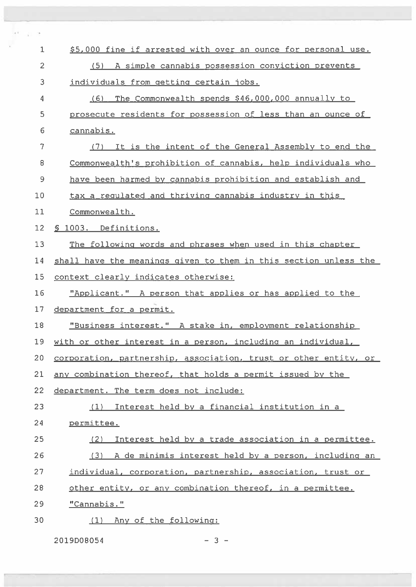| $1\,$          | \$5,000 fine if arrested with over an ounce for personal use.    |
|----------------|------------------------------------------------------------------|
| $\overline{2}$ | (5) A simple cannabis possession conviction prevents             |
| 3              | individuals from getting certain jobs.                           |
| 4              | (6) The Commonwealth spends \$46,000,000 annually to             |
| 5              | prosecute residents for possession of less than an ounce of      |
| 6              | cannabis.                                                        |
| $\overline{7}$ | (7) It is the intent of the General Assembly to end the          |
| 8              | Commonwealth's prohibition of cannabis, help individuals who     |
| 9              | have been harmed by cannabis prohibition and establish and       |
| 10             | tax a regulated and thriving cannabis industry in this           |
| 11             | Commonwealth.                                                    |
| 12             | § 1003. Definitions.                                             |
| 13             | The following words and phrases when used in this chapter        |
| 14             | shall have the meanings given to them in this section unless the |
| 15             | context clearly indicates otherwise:                             |
| 16             | "Applicant." A person that applies or has applied to the         |
| 17             | department for a permit.                                         |
| 18             | "Business interest." A stake in, employment relationship         |
| 19             | with or other interest in a person, including an individual,     |
| 20             | corporation, partnership, association, trust or other entity, or |
| 21             | any combination thereof, that holds a permit issued by the       |
| 22             | department. The term does not include:                           |
| 23             | (1) Interest held by a financial institution in a                |
| 24             | permittee.                                                       |
| 25             | Interest held by a trade association in a permittee.<br>(2)      |
| 26             | (3) A de minimis interest held by a person, including an         |
| 27             | individual, corporation, partnership, association, trust or      |
| 28             | other entity, or any combination thereof, in a permittee.        |
| 29             | "Cannabis."                                                      |
| 30             | Any of the following:<br>(1)                                     |

2019008054 — 3 —

n.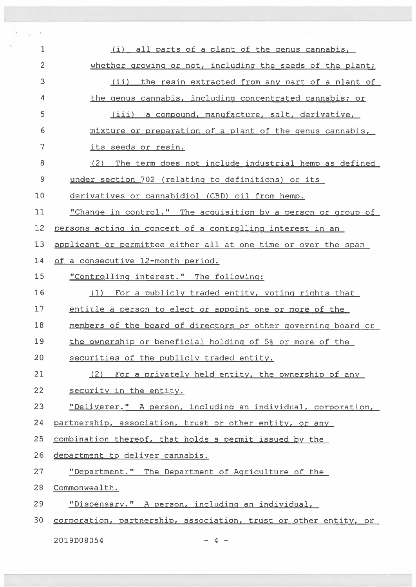| $\mathbf{1}$   | all parts of a plant of the genus cannabis,<br>(i)               |
|----------------|------------------------------------------------------------------|
| $\overline{c}$ | whether growing or not, including the seeds of the plant;        |
| 3              | (ii) the resin extracted from any part of a plant of             |
| 4              | the genus cannabis, including concentrated cannabis; or          |
| 5              | (iii) a compound, manufacture, salt, derivative,                 |
| 6              | mixture or preparation of a plant of the genus cannabis,         |
| 7              | its seeds or resin.                                              |
| 8              | (2) The term does not include industrial hemp as defined         |
| 9              | under section 702 (relating to definitions) or its               |
| 10             | derivatives or cannabidiol (CBD) oil from hemp.                  |
| 11             | "Change in control." The acquisition by a person or group of     |
| 12             | persons acting in concert of a controlling interest in an        |
| 13             | applicant or permittee either all at one time or over the span   |
| 14             | of a consecutive 12-month period.                                |
| 15             | "Controlling interest." The following:                           |
| 16             | (1) For a publicly traded entity, voting rights that             |
| 17             | entitle a person to elect or appoint one or more of the          |
| 18             | members of the board of directors or other governing board or    |
| 19             | the ownership or beneficial holding of 5% or more of the         |
| 20             | securities of the publicly traded entity.                        |
| 21             | (2) For a privately held entity, the ownership of any            |
| 22             | security in the entity.                                          |
| 23             | "Deliverer." A person, including an individual, corporation,     |
| 24             | partnership, association, trust or other entity, or any          |
| 25             | combination thereof, that holds a permit issued by the           |
| 26             | department to deliver cannabis.                                  |
| 27             | "Department." The Department of Agriculture of the               |
| 28             | Commonwealth.                                                    |
| 29             | "Dispensary." A person, including an individual,                 |
| 30             | corporation, partnership, association, trust or other entity, or |
|                |                                                                  |

 $2019D08054$   $-4$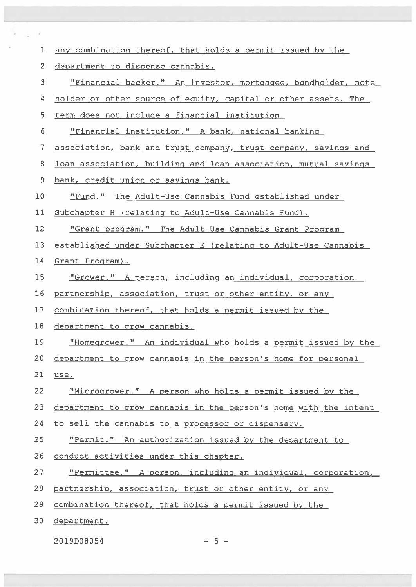| 1  | any combination thereof, that holds a permit issued by the       |
|----|------------------------------------------------------------------|
| 2  | department to dispense cannabis.                                 |
| 3  | "Financial backer." An investor, mortgagee, bondholder, note     |
| 4  | holder or other source of equity, capital or other assets. The   |
| 5  | term does not include a financial institution.                   |
| 6  | "Financial institution." A bank, national banking                |
| 7  | association, bank and trust company, trust company, savings and  |
| 8  | loan association, building and loan association, mutual savings  |
| 9  | bank, credit union or savings bank.                              |
| 10 | "Fund." The Adult-Use Cannabis Fund established under            |
| 11 | Subchapter H (relating to Adult-Use Cannabis Fund).              |
| 12 | "Grant program." The Adult-Use Cannabis Grant Program            |
| 13 | established under Subchapter E (relating to Adult-Use Cannabis   |
| 14 | Grant Program).                                                  |
| 15 | "Grower." A person, including an individual, corporation,        |
| 16 | partnership, association, trust or other entity, or any          |
| 17 | combination thereof, that holds a permit issued by the           |
| 18 | department to grow cannabis.                                     |
| 19 | "Homegrower." An individual who holds a permit issued by the     |
| 20 | department to grow cannabis in the person's home for personal    |
| 21 | use.                                                             |
| 22 | "Microgrower." A person who holds a permit issued by the         |
| 23 | department to grow cannabis in the person's home with the intent |
| 24 | to sell the cannabis to a processor or dispensary.               |
| 25 | "Permit." An authorization issued by the department to           |
| 26 | conduct activities under this chapter.                           |
| 27 | "Permittee." A person, including an individual, corporation,     |
| 28 | partnership, association, trust or other entity, or any          |
| 29 | combination thereof, that holds a permit issued by the           |
| 30 | department.                                                      |
|    |                                                                  |

 $2019D08054$  - 5 -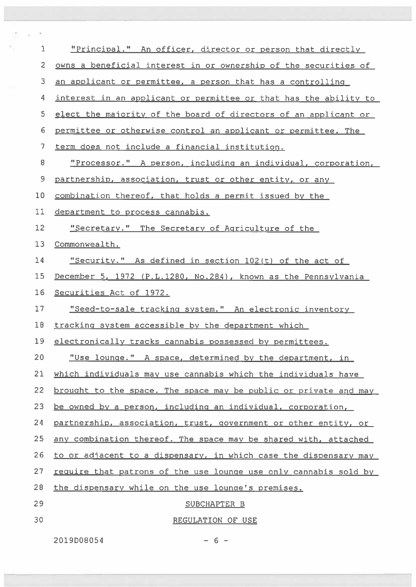| $\mathbf 1$    | "Principal." An officer, director or person that directly        |
|----------------|------------------------------------------------------------------|
| $\overline{c}$ | owns a beneficial interest in or ownership of the securities of  |
| 3              | an applicant or permittee, a person that has a controlling       |
| 4              | interest in an applicant or permittee or that has the ability to |
| 5              | elect the majority of the board of directors of an applicant or  |
| 6              | permittee or otherwise control an applicant or permittee. The    |
| 7              | term does not include a financial institution.                   |
| 8              | "Processor." A person, including an individual, corporation,     |
| 9              | partnership, association, trust or other entity, or any          |
| 10             | combination thereof, that holds a permit issued by the           |
| 11             | department to process cannabis.                                  |
| 12             | "Secretary." The Secretary of Agriculture of the                 |
| 13             | Commonwealth.                                                    |
| 14             | "Security." As defined in section 102(t) of the act of           |
| 15             | December 5, 1972 (P.L.1280, No.284), known as the Pennsylvania   |
| 16             | Securities Act of 1972.                                          |
| 17             | "Seed-to-sale_tracking_system." An_electronic_inventory_         |
| 18             | tracking system accessible by the department which               |
| 19             | electronically tracks cannabis possessed by permittees.          |
| 20             | "Use lounge." A space, determined by the department, in          |
| 21             | which individuals may use cannabis which the individuals have    |
| 22             | brought to the space. The space may be public or private and may |
| 23             | be owned by a person, including an individual, corporation,      |
| 24             | partnership, association, trust, government or other entity, or  |
| 25             | any combination thereof. The space may be shared with, attached  |
| 26             | to or adjacent to a dispensary, in which case the dispensary may |
| 27             | require that patrons of the use lounge use only cannabis sold by |
| 28             | the dispensary while on the use lounge's premises.               |
| 29             | SUBCHAPTER B                                                     |
| 30             | REGULATION OF USE                                                |
|                |                                                                  |

20l9D08054 — 6 —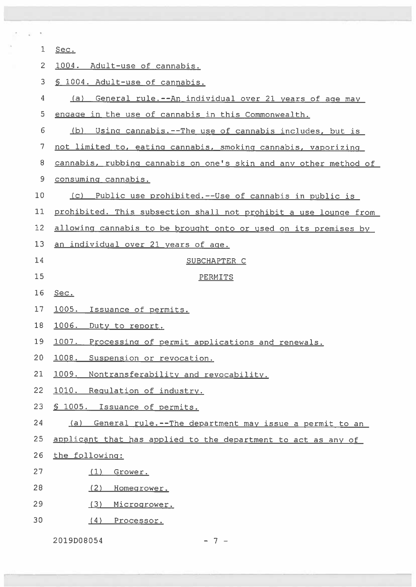| $\mathbf 1$    | Sec.                                                             |
|----------------|------------------------------------------------------------------|
| $\overline{2}$ | 1004. Adult-use of cannabis.                                     |
| 3              | § 1004. Adult-use of cannabis.                                   |
| 4              | General rule.--An individual over 21 years of age may<br>(a)     |
| 5              | engage in the use of cannabis in this Commonwealth.              |
| 6              | (b)<br>Using cannabis.--The use of cannabis includes, but is     |
| 7              | not limited to, eating cannabis, smoking cannabis, vaporizing    |
| 8              | cannabis, rubbing cannabis on one's skin and any other method of |
| 9              | consuming cannabis.                                              |
| 10             | Public use prohibited.--Use of cannabis in public is<br>(C)      |
| 11             | prohibited. This subsection shall not prohibit a use lounge from |
| 12             | allowing cannabis to be brought onto or used on its premises by  |
| 13             | an individual over 21 years of age.                              |
| 14             | SUBCHAPTER C                                                     |
| 15             | PERMITS                                                          |
| 16             | Sec.                                                             |
| 17             | 1005. Issuance of permits.                                       |
| 18             | 1006. Duty to report.                                            |
| 19             | 1007.<br>Processing of permit applications and renewals.         |
| 20             | 1008.<br>Suspension or revocation.                               |
| 21             | 1009.<br>Nontransferability and revocability.                    |
| 22             | 1010. Requlation of industry.                                    |
| 23             | \$ 1005. Issuance of permits.                                    |
| 24             | General rule.--The department may issue a permit to an<br>(a)    |
| 25             | applicant that has applied to the department to act as any of    |
| 26             | the following:                                                   |
| 27             | (1)<br>Grower.                                                   |
| 28             | (2)<br>Homegrower.                                               |
| 29             | (3)<br>Microgrower.                                              |
| 30             | (4)<br>Processor.                                                |
|                |                                                                  |

2019008054 — 7 —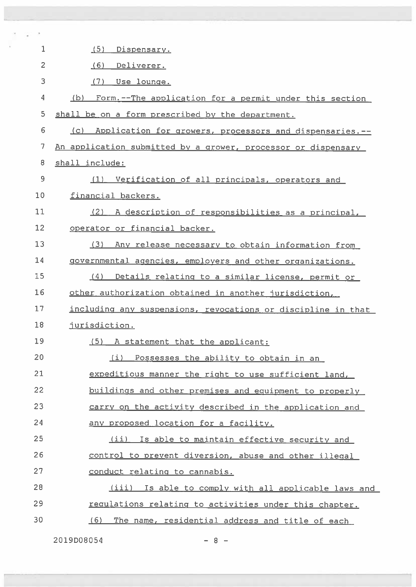| 1              | (5)<br>Dispensary.                                              |
|----------------|-----------------------------------------------------------------|
| $\overline{2}$ | (6)<br>Deliverer.                                               |
| 3              | $(7)$ Use lounge.                                               |
| 4              | Form. -- The application for a permit under this section<br>(b) |
| 5              | shall be on a form prescribed by the department.                |
| 6              | Application for growers, processors and dispensaries.--<br>(C)  |
| $\overline{7}$ | An application submitted by a grower, processor or dispensary   |
| 8              | shall include:                                                  |
| 9              | Verification of all principals, operators and<br>(1)            |
| 10             | financial backers.                                              |
| 11             | A description of responsibilities as a principal,<br>(2)        |
| 12             | operator or financial backer.                                   |
| 13             | (3)<br>Any release necessary to obtain information from         |
| 14             | governmental agencies, employers and other organizations.       |
| 15             | Details relating to a similar license, permit or<br>(4)         |
| 16             | other authorization obtained in another jurisdiction,           |
| 17             | including any suspensions, revocations or discipline in that    |
| 18             | jurisdiction.                                                   |
| 19             | (5) A statement that the applicant:                             |
| 20             | (i) Possesses the ability to obtain in an                       |
| 21             | expeditious manner the right to use sufficient land,            |
| 22             | buildings and other premises and equipment to properly          |
| 23             | carry on the activity described in the application and          |
| 24             | any proposed location for a facility.                           |
| 25             | (ii) Is able to maintain effective security and                 |
| 26             | control to prevent diversion, abuse and other illegal           |
| 27             | conduct relating to cannabis.                                   |
| 28             | (iii) Is able to comply with all applicable laws and            |
| 29             | requlations relating to activities under this chapter.          |
| 30             | The name, residential address and title of each<br>(6)          |
|                |                                                                 |

20l9D08054

— 8 —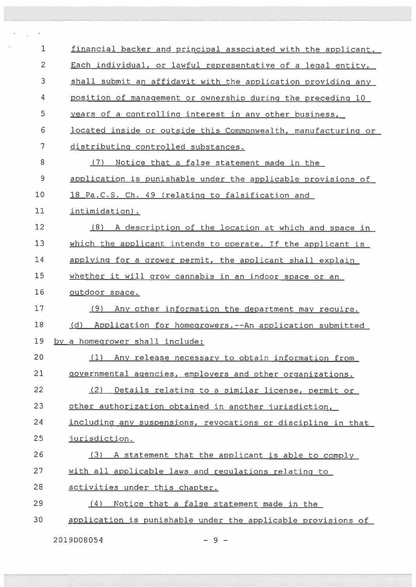| 1              | financial backer and principal associated with the applicant.   |
|----------------|-----------------------------------------------------------------|
| 2              | Each individual, or lawful representative of a legal entity,    |
| 3              | shall submit an affidavit with the application providing any    |
| 4              | position of management or ownership during the preceding 10     |
| 5              | years of a controlling interest in any other business,          |
| 6              | located inside or outside this Commonwealth, manufacturing or   |
| $\overline{7}$ | distributing controlled substances.                             |
| 8              | (7)<br>Notice that a false statement made in the                |
| 9              | application is punishable under the applicable provisions of    |
| 10             | 18 Pa.C.S. Ch. 49 (relating to falsification and                |
| 11             | intimidation).                                                  |
| 12             | (8) A description of the location at which and space in         |
| 13             | which the applicant intends to operate. If the applicant is     |
| 14             | applying for a grower permit, the applicant shall explain       |
| 15             | whether it will grow cannabis in an indoor space or an          |
| 16             | outdoor space.                                                  |
| 17             | (9) Any other information the department may require.           |
| 18             | Application for homegrowers. -- An application submitted<br>(d) |
| 19             | by a homegrower shall include:                                  |
| 20             | Any release necessary to obtain information from<br>(1)         |
| 21             | governmental agencies, employers and other organizations.       |
| 22             | Details relating to a similar license, permit or<br>(2)         |
| 23             | other authorization obtained in another jurisdiction,           |
| 24             | including any suspensions, revocations or discipline in that    |
| 25             | jurisdiction.                                                   |
| 26             | (3) A statement that the applicant is able to comply            |
| 27             | with all applicable laws and requlations relating to            |
| 28             | activities under this chapter.                                  |
| 29             | Notice that a false statement made in the<br>(4)                |
| 30             | application is punishable under the applicable provisions of    |
|                |                                                                 |

 $2019D08054$  - 9 -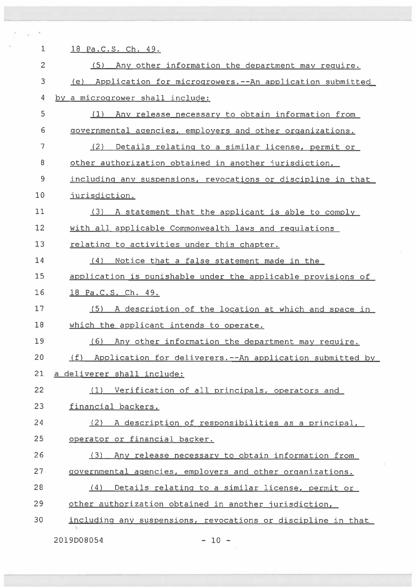| 1  | 18 Pa.C.S. Ch. 49.                                                |
|----|-------------------------------------------------------------------|
| 2  | (5) Any other information the department may require.             |
| 3  | (e) Application for microgrowers.--An application submitted       |
| 4  | by a microgrower shall include:                                   |
| 5  | (1) Any release necessary to obtain information from              |
| 6  | governmental agencies, employers and other organizations.         |
| 7  | (2)<br>Details relating to a similar license, permit or           |
| 8  | other authorization obtained in another jurisdiction,             |
| 9  | including any suspensions, revocations or discipline in that      |
| 10 | jurisdiction.                                                     |
| 11 | (3) A statement that the applicant is able to comply              |
| 12 | with all applicable Commonwealth laws and requlations             |
| 13 | relating to activities under this chapter.                        |
| 14 | Notice that a false statement made in the<br>(4)                  |
| 15 | application is punishable under the applicable provisions of      |
| 16 | 18 Pa.C.S. Ch. 49.                                                |
| 17 | A description of the location at which and space in<br>(5)        |
| 18 | which the applicant intends to operate.                           |
| 19 | Any other information the department may require.<br>(6)          |
| 20 | Application for deliverers. -- An application submitted by<br>(f) |
| 21 | a deliverer shall include:                                        |
| 22 | Verification of all principals, operators and<br>(1)              |
| 23 | financial backers.                                                |
| 24 | A description of responsibilities as a principal,<br>(2)          |
| 25 | operator or financial backer.                                     |
| 26 | Any release necessary to obtain information from<br>(3)           |
| 27 | governmental agencies, employers and other organizations.         |
| 28 | (4)<br>Details relating to a similar license, permit or           |
| 29 | other authorization obtained in another jurisdiction,             |
| 30 | including any suspensions, revocations or discipline in that      |
|    | 2019D08054<br>$-10 -$                                             |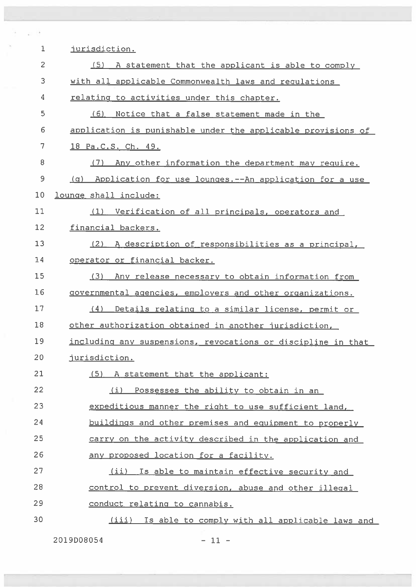| 1  | jurisdiction.                                                |
|----|--------------------------------------------------------------|
| 2  | (5)<br>A statement that the applicant is able to comply      |
| 3  | with all applicable Commonwealth laws and requlations        |
| 4  | relating to activities under this chapter.                   |
| 5  | (6)<br>Notice that a false statement made in the             |
| 6  | application is punishable under the applicable provisions of |
| 7  | 18 Pa.C.S. Ch. 49.                                           |
| 8  | (7)<br>Any other information the department may require.     |
| 9  | (q) Application for use lounges.--An application for a use   |
| 10 | lounge shall include:                                        |
| 11 | (1) Verification of all principals, operators and            |
| 12 | financial backers.                                           |
| 13 | (2) A description of responsibilities as a principal,        |
| 14 | operator or financial backer.                                |
| 15 | (3)<br>Any release necessary to obtain information from      |
| 16 | governmental agencies, employers and other organizations.    |
| 17 | (4)<br>Details relating to a similar license, permit or      |
| 18 | other authorization obtained in another jurisdiction,        |
| 19 | including any suspensions, revocations or discipline in that |
| 20 | jurisdiction.                                                |
| 21 | (5) A statement that the applicant:                          |
| 22 | (i) Possesses the ability to obtain in an                    |
| 23 | expeditious manner the right to use sufficient land,         |
| 24 | buildings and other premises and equipment to properly       |
| 25 | carry on the activity described in the application and       |
| 26 | any proposed location for a facility.                        |
| 27 | (ii) Is able to maintain effective security and              |
| 28 | control to prevent diversion, abuse and other illegal        |
| 29 | conduct relating to cannabis.                                |
| 30 | (iii) Is able to comply with all applicable laws and         |

2019008054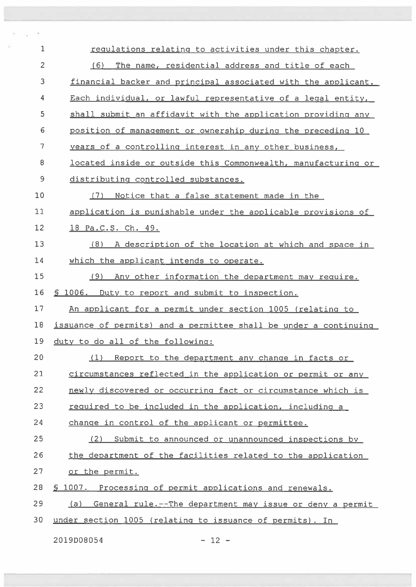| $\mathbf{1}$   | requlations relating to activities under this chapter.           |
|----------------|------------------------------------------------------------------|
| $\overline{2}$ | (6)<br>The name, residential address and title of each           |
| 3              | financial backer and principal associated with the applicant.    |
| 4              | Each individual, or lawful representative of a legal entity,     |
| 5              | shall submit an affidavit with the application providing any     |
| 6              | position of management or ownership during the preceding 10      |
| 7              | years of a controlling interest in any other business,           |
| 8              | located inside or outside this Commonwealth, manufacturing or    |
| 9              | distributing controlled substances.                              |
| 10             | (7)<br>Notice that a false statement made in the                 |
| 11             | application is punishable under the applicable provisions of     |
| 12             | 18 Pa.C.S. Ch. 49.                                               |
| 13             | (8) A description of the location at which and space in          |
| 14             | which the applicant intends to operate.                          |
| 15             | (9) Any other information the department may require.            |
| 16             | \$ 1006. Duty to report and submit to inspection.                |
| 17             | An applicant for a permit under section 1005 (relating to        |
| 18             | issuance of permits) and a permittee shall be under a continuing |
| 19             | duty to do all of the following:                                 |
| 20             | Report to the department any change in facts or<br>(1)           |
| 21             | circumstances reflected in the application or permit or any      |
| 22             | newly discovered or occurring fact or circumstance which is      |
| 23             | required to be included in the application, including a          |
| 24             | change in control of the applicant or permittee.                 |
| 25             | (2) Submit to announced or unannounced inspections by            |
| 26             | the department of the facilities related to the application      |
| 27             | or the permit.                                                   |
| 28             | § 1007. Processing of permit applications and renewals.          |
| 29             | (a) General rule.--The department may issue or deny a permit     |
| 30             | under section 1005 (relating to issuance of permits). In         |
|                |                                                                  |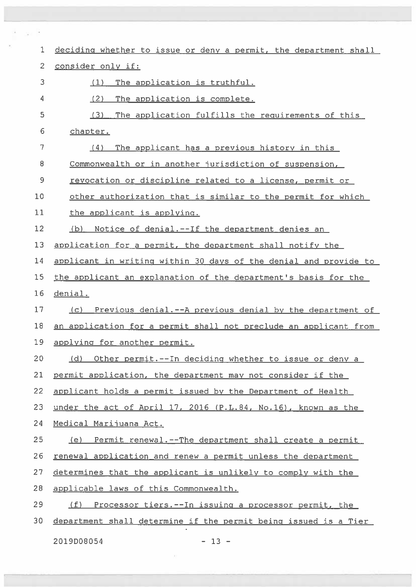| deciding whether to issue or deny a permit, the department shall |
|------------------------------------------------------------------|
| consider only if:                                                |
| The application is truthful.<br>(1)                              |
| (2)<br>The application is complete.                              |
| (3)<br>The application fulfills the requirements of this         |
| chapter.                                                         |
| The applicant has a previous history in this<br>(4)              |
| Commonwealth or in another jurisdiction of suspension,           |
| revocation or discipline related to a license, permit or         |
| other authorization that is similar to the permit for which      |
| the applicant is applying.                                       |
| (b) Notice of denial.--If the department denies an               |
| application for a permit, the department shall notify the        |
| applicant in writing within 30 days of the denial and provide to |
| the applicant an explanation of the department's basis for the   |
| denial.                                                          |
| (c) Previous denial.--A previous denial by the department of     |
| an application for a permit shall not preclude an applicant from |
| applying for another permit.                                     |
| (d) Other permit.--In deciding whether to issue or deny a        |
| permit application, the department may not consider if the       |
| applicant holds a permit issued by the Department of Health      |
| under the act of April 17, 2016 (P.L.84, No.16), known as the    |
| Medical Marijuana Act.                                           |
| Permit renewal. -- The department shall create a permit<br>(e)   |
| renewal application and renew a permit unless the department     |
| determines that the applicant is unlikely to comply with the     |
| applicable laws of this Commonwealth.                            |
| (f)<br>Processor tiers.--In issuing a processor permit, the      |
| department shall determine if the permit being issued is a Tier  |
|                                                                  |

2019 DO 8 0 54 — 13 —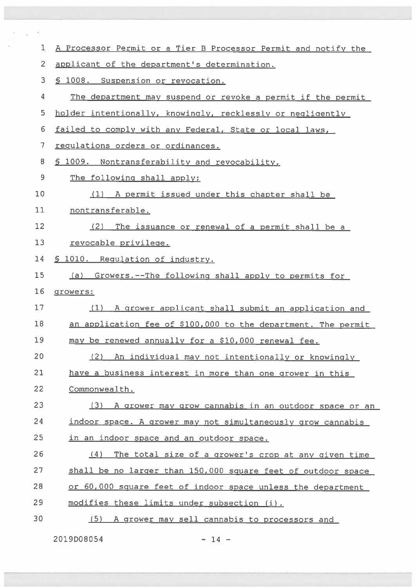| $\mathbf{1}$   | A Processor Permit or a Tier B Processor Permit and notify the |
|----------------|----------------------------------------------------------------|
| $\overline{2}$ | applicant of the department's determination.                   |
| 3              | § 1008. Suspension or revocation.                              |
| 4              | The department may suspend or revoke a permit if the permit    |
| 5              | holder intentionally, knowingly, recklessly or negligently     |
| 6              | failed to comply with any Federal, State or local laws,        |
| 7              | regulations orders or ordinances.                              |
| 8              | § 1009. Nontransferability and revocability.                   |
| 9              | The following shall apply:                                     |
| 10             | (1) A permit issued under this chapter shall be                |
| 11             | nontransferable.                                               |
| 12             | (2)<br>The issuance or renewal of a permit shall be a          |
| 13             | revocable privilege.                                           |
| 14             | § 1010. Requlation of industry.                                |
| 15             | (a) Growers.--The following shall apply to permits for         |
| 16             | growers:                                                       |
| 17             | A grower applicant shall submit an application and<br>(1)      |
| 18             | an application fee of \$100,000 to the department. The permit  |
| 19             | may be renewed annually for a \$10,000 renewal fee.            |
|                |                                                                |
| 20             | (2)<br>An individual may not intentionally or knowingly        |
| 21             | have a business interest in more than one grower in this       |
| 22             | Commonwealth.                                                  |
| 23             | (3) A grower may grow cannabis in an outdoor space or an       |
| 24             | indoor space. A grower may not simultaneously grow cannabis    |
| 25             | in an indoor space and an outdoor space.                       |
| 26             | The total size of a grower's crop at any given time<br>(4)     |
| 27             | shall be no larger than 150,000 square feet of outdoor space   |
| 28             | or 60,000 square feet of indoor space unless the department    |
| 29             | modifies these limits under subsection (i).                    |
| 30             | A grower may sell cannabis to processors and<br>(5)            |

2019D08054 — 14 —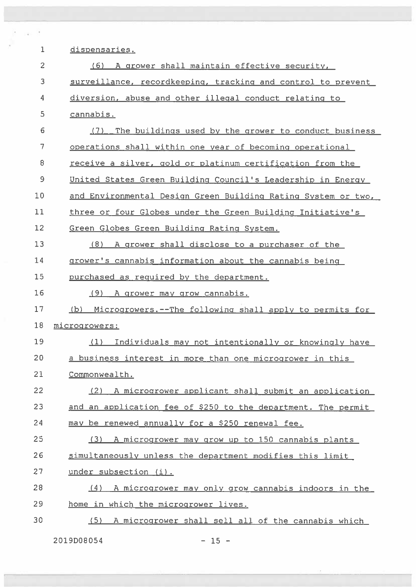| 1  | dispensaries.                                                  |
|----|----------------------------------------------------------------|
| 2  | (6) A grower shall maintain effective security,                |
| 3  | surveillance, recordkeeping, tracking and control to prevent   |
| 4  | diversion, abuse and other illegal conduct relating to         |
| 5  | cannabis.                                                      |
| 6  | (7)<br>The buildings used by the grower to conduct business    |
| 7  | operations shall within one year of becoming operational       |
| 8  | receive a silver, gold or platinum certification from the      |
| 9  | United States Green Building Council's Leadership in Energy    |
| 10 | and Environmental Design Green Building Rating System or two,  |
| 11 | three or four Globes under the Green Building Initiative's     |
| 12 | Green Globes Green Building Rating System.                     |
| 13 | (8) A grower shall disclose to a purchaser of the              |
| 14 | grower's cannabis information about the cannabis being         |
| 15 | purchased as required by the department.                       |
| 16 | (9) A grower may grow cannabis.                                |
| 17 | Microgrowers.--The following shall apply to permits for<br>(b) |
| 18 | microgrowers:                                                  |
| 19 | (1) Individuals may not intentionally or knowingly have        |
| 20 | a business interest in more than one microgrower in this       |
| 21 | Commonwealth.                                                  |
| 22 | A microgrower applicant shall submit an application<br>(2)     |
| 23 | and an application fee of \$250 to the department. The permit  |
| 24 | may be renewed annually for a \$250 renewal fee.               |
| 25 | (3) A microgrower may grow up to 150 cannabis plants           |
| 26 | simultaneously unless the department modifies this limit       |
| 27 | under subsection (i).                                          |
| 28 | A microgrower may only grow cannabis indoors in the<br>(4)     |
| 29 | home in which the microgrower lives.                           |
| 30 | A microgrower shall sell all of the cannabis which<br>(5)      |

2019D08054 — 15 —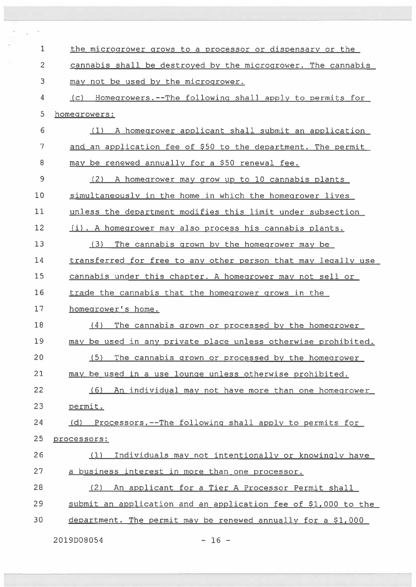| 1  | the microgrower grows to a processor or dispensary or the      |
|----|----------------------------------------------------------------|
| 2  | cannabis shall be destroyed by the microgrower. The cannabis   |
| 3  | may not be used by the microgrower.                            |
| 4  | (c) Homegrowers.--The following shall apply to permits for     |
| 5  | homegrowers:                                                   |
| 6  | (1) A homegrower applicant shall submit an application         |
| 7  | and an application fee of \$50 to the department. The permit   |
| 8  | may be renewed annually for a \$50 renewal fee.                |
| 9  | (2)<br>A homegrower may grow up to 10 cannabis plants          |
| 10 | simultaneously in the home in which the homegrower lives       |
| 11 | unless the department modifies this limit under subsection     |
| 12 | (i). A homegrower may also process his cannabis plants.        |
| 13 | (3)<br>The cannabis grown by the homegrower may be             |
| 14 | transferred for free to any other person that may legally use  |
| 15 | cannabis under this chapter. A homegrower may not sell or      |
| 16 | trade the cannabis that the homegrower grows in the            |
| 17 | homegrower's home.                                             |
| 18 | (4)<br>The cannabis grown or processed by the homegrower       |
| 19 | may be used in any private place unless otherwise prohibited.  |
| 20 | (5)<br>The cannabis grown or processed by the homegrower       |
| 21 | may be used in a use lounge unless otherwise prohibited.       |
| 22 | An individual may not have more than one homegrower<br>(6)     |
| 23 | permit.                                                        |
| 24 | (d) Processors.--The following shall apply to permits for      |
| 25 | processors:                                                    |
| 26 | (1)<br>Individuals may not intentionally or knowingly have     |
| 27 | a business interest in more than one processor.                |
| 28 | An applicant for a Tier A Processor Permit shall<br>(2)        |
| 29 | submit an application and an application fee of \$1,000 to the |
| 30 | department. The permit may be renewed annually for a \$1,000   |
|    |                                                                |

20l9D08054 — 16 —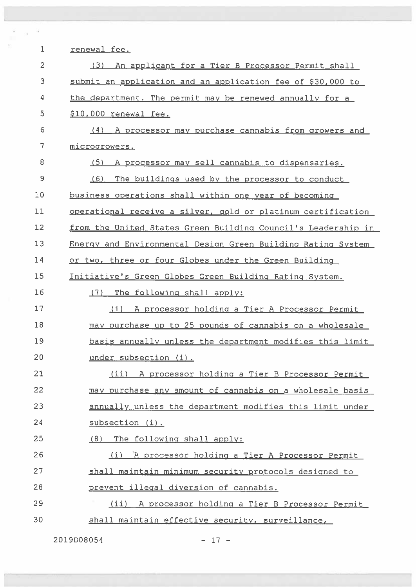| $\mathbf 1$    | renewal fee.                                                  |
|----------------|---------------------------------------------------------------|
| $\overline{c}$ | (3) An applicant for a Tier B Processor Permit shall          |
| 3              | submit an application and an application fee of \$30,000 to   |
| 4              | the department. The permit may be renewed annually for a      |
| 5              | \$10,000 renewal fee.                                         |
| 6              | (4) A processor may purchase cannabis from growers and        |
| 7              | microgrowers.                                                 |
| 8              | A processor may sell cannabis to dispensaries.<br>(5)         |
| 9              | The buildings used by the processor to conduct<br>(6)         |
| 10             | business operations shall within one year of becoming         |
| 11             | operational receive a silver, gold or platinum certification  |
| 12             | from the United States Green Building Council's Leadership in |
| 13             | Energy and Environmental Design Green Building Rating System  |
| 14             | or two, three or four Globes under the Green Building         |
| 15             | Initiative's Green Globes Green Building Rating System.       |
| 16             | The following shall apply:<br>(7)                             |
| 17             | A processor holding a Tier A Processor Permit<br>(i)          |
| 18             | may purchase up to 25 pounds of cannabis on a wholesale       |
| 19             | basis annually unless the department modifies this limit      |
| 20             | under subsection (i).                                         |
| 21             | (ii) A processor holding a Tier B Processor Permit            |
| 22             | may purchase any amount of cannabis on a wholesale basis      |
| 23             | annually unless the department modifies this limit under      |
| 24             | subsection (i).                                               |
| 25             | (8) The following shall apply:                                |
| 26             | A processor holding a Tier A Processor Permit<br>(i)          |
| 27             | shall maintain minimum security protocols designed to         |
| 28             | prevent illegal diversion of cannabis.                        |
| 29             | (ii) A processor holding a Tier B Processor Permit            |
| 30             | shall maintain effective security, surveillance,              |
|                |                                                               |

2019008054 — 17 —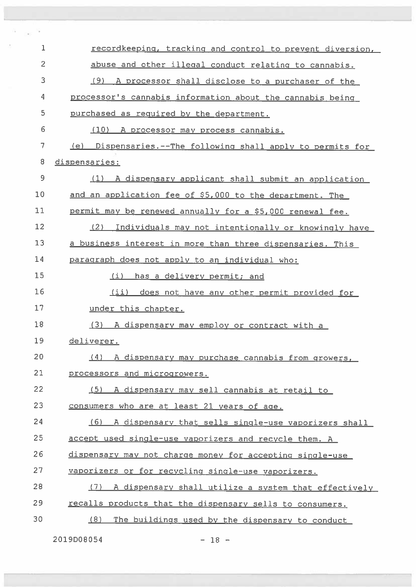| $\mathbf 1$    | recordkeeping, tracking and control to prevent diversion,   |
|----------------|-------------------------------------------------------------|
| $\overline{c}$ | abuse and other illegal conduct relating to cannabis.       |
| 3              | A processor shall disclose to a purchaser of the<br>(9)     |
| 4              | processor's cannabis information about the cannabis being   |
| 5              | purchased as required by the department.                    |
| 6              | (10) A processor may process cannabis.                      |
| 7              | (e) Dispensaries.--The following shall apply to permits for |
| 8              | dispensaries:                                               |
| $\mathsf 9$    | (1) A dispensary applicant shall submit an application      |
| 10             | and an application fee of \$5,000 to the department. The    |
| 11             | permit may be renewed annually for a \$5,000 renewal fee.   |
| 12             | (2)<br>Individuals may not intentionally or knowingly have  |
| 13             | a business interest in more than three dispensaries. This   |
| 14             | paragraph does not apply to an individual who:              |
| 15             | (i) has a delivery permit; and                              |
| 16             | (ii) does not have any other permit provided for            |
| 17             | under this chapter.                                         |
| 18             | (3) A dispensary may employ or contract with a              |
| 19             | deliverer.                                                  |
| 20             | (4) A dispensary may purchase cannabis from growers,        |
| 21             | processors and microgrowers.                                |
| 22             | (5) A dispensary may sell cannabis at retail to             |
| 23             | consumers who are at least 21 years of age.                 |
| 24             | (6) A dispensary that sells single-use vaporizers shall     |
| 25             | accept used single-use vaporizers and recycle them. A       |
| 26             | dispensary may not charge money for accepting single-use    |
| 27             | vaporizers or for recycling single-use vaporizers.          |
| 28             | (7) A dispensary shall utilize a system that effectively    |
| 29             | recalls products that the dispensary sells to consumers.    |
| 30             | (8)<br>The buildings used by the dispensary to conduct      |

2019008054

— 18 —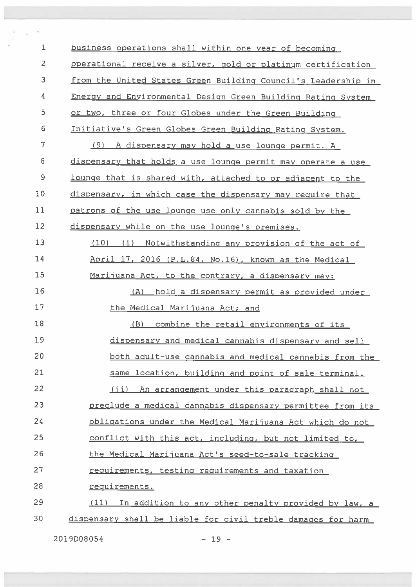business operations shall within one year of becoming operational receive <sup>a</sup> silver, gold or <sup>p</sup>latinum certification from the United States Green Building Council's Leadership in Energy and Environmental Design Green Building Rating System or two, three or four Globes under the Green Building Initiative's Green Globes Green Building Rating System. (9) <sup>A</sup> dispensary may hold <sup>a</sup> use lounge permit. <sup>A</sup> 8 dispensary that holds a use lounge permit may operate a use 9 lounge that is shared with, attached to or adjacent to the 10 dispensary, in which case the dispensary may require that patrons of the use lounce use only cannabis sold by the 12 dispensary while on the use lounge's premises. (10) (i) Notwithstanding any provision of the act of April 17, 2016 (P.L.84. No.16), known as the Medical 15 Marijuana Act, to the contrary, a dispensary may: (A) hold <sup>a</sup> dispensary permit as provided under 17 the Medical Marijuana Act; and (B) combine the retail environments of its dispensary and medical cannabis dispensary and sell both adult—use cannabis and medical cannabis from the same location, building and point of sale terminal. (ii) An arrangement under this paragraph shall not preclude <sup>a</sup> medical cannabis dispensary permittee from its obligations under the Medical Marijuana Act which do not conflict with this act, including, but not limited to, 26 the Medical Marijuana Act's seed-to-sale tracking 27 requirements, testing requirements and taxation 2B reguirements. (11) In addition to any other penalty provided by law, <sup>a</sup> dispensary shall be liable for civil treble damages for harm

2019008054 — 19 —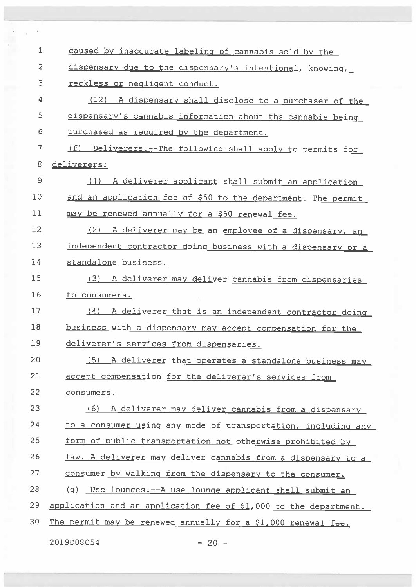| $\mathbf{1}$   | caused by inaccurate labeling of cannabis sold by the            |
|----------------|------------------------------------------------------------------|
| $\overline{c}$ | dispensary due to the dispensary's intentional, knowing,         |
| 3              | reckless or negligent conduct.                                   |
| 4              | (12) A dispensary shall disclose to a purchaser of the           |
| 5              | dispensary's cannabis information about the cannabis being       |
| 6              | purchased as required by the department.                         |
| 7              | (f) Deliverers. -- The following shall apply to permits for      |
| 8              | deliverers:                                                      |
| 9              | (1) A deliverer applicant shall submit an application            |
| 10             | and an application fee of \$50 to the department. The permit     |
| 11             | may be renewed annually for a \$50 renewal fee.                  |
| 12             | (2) A deliverer may be an employee of a dispensary, an           |
| 13             | independent contractor doing business with a dispensary or a     |
| 14             | standalone business.                                             |
| 15             | (3) A deliverer may deliver cannabis from dispensaries           |
| 16             | to consumers.                                                    |
| 17             | (4)<br>A deliverer that is an independent contractor doing       |
| 18             | business with a dispensary may accept compensation for the       |
| 19             | deliverer's services from dispensaries.                          |
| 20             | (5) A deliverer that operates a standalone business may          |
| 21             | accept compensation for the deliverer's services from            |
| 22             | consumers.                                                       |
| 23             | (6) A deliverer may deliver cannabis from a dispensary           |
| 24             | to a consumer using any mode of transportation, including any    |
| 25             | form of public transportation not otherwise prohibited by        |
| 26             | law. A deliverer may deliver cannabis from a dispensary to a     |
| 27             | consumer by walking from the dispensary to the consumer.         |
| 28             | Use lounges. -- A use lounge applicant shall submit an<br>(q)    |
| 29             | application and an application fee of \$1,000 to the department. |
| 30             | The permit may be renewed annually for a \$1,000 renewal fee.    |
|                |                                                                  |

2019008054 — 20 —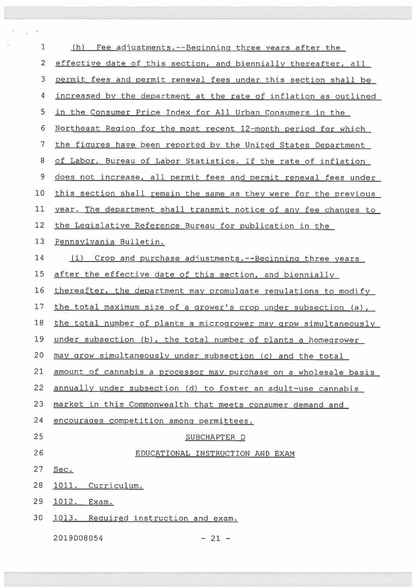| 1              | (h)<br>Fee adjustments. -- Beginning three years after the       |
|----------------|------------------------------------------------------------------|
| $\overline{2}$ | effective date of this section, and biennially thereafter, all   |
| 3              | permit fees and permit renewal fees under this section shall be  |
| 4              | increased by the department at the rate of inflation as outlined |
| 5              | in the Consumer Price Index for All Urban Consumers in the       |
| 6              | Northeast Region for the most recent 12-month period for which   |
| 7              | the figures have been reported by the United States Department   |
| 8              | of Labor, Bureau of Labor Statistics. If the rate of inflation   |
| 9              | does not increase, all permit fees and permit renewal fees under |
| 10             | this section shall remain the same as they were for the previous |
| 11             | year. The department shall transmit notice of any fee changes to |
| 12             | the Legislative Reference Bureau for publication in the          |
| 13             | Pennsylvania Bulletin.                                           |
| 14             | (i) Crop and purchase adjustments. -- Beginning three years      |
| 15             | after the effective date of this section, and biennially         |
| 16             | thereafter, the department may promulgate regulations to modify  |
| 17             | the total maximum size of a grower's crop under subsection (a),  |
| 18             | the total number of plants a microgrower may grow simultaneously |
| 19             | under subsection (b), the total number of plants a homegrower    |
| 20             | may grow simultaneously under subsection (c) and the total       |
| 21             | amount of cannabis a processor may purchase on a wholesale basis |
| 22             | annually under subsection (d) to foster an adult-use cannabis    |
| 23             | market in this Commonwealth that meets consumer demand and       |
| 24             | encourages competition among permittees.                         |
| 25             | SUBCHAPTER D                                                     |
| 26             | EDUCATIONAL INSTRUCTION AND EXAM                                 |
| 27             | Sec.                                                             |
| 28             | 1011. Curriculum.                                                |
| 29             | <u> 1012.</u><br>Exam.                                           |
| 30             | 1013. Required instruction and exam.                             |
|                | 2019D08054<br>$-21 -$                                            |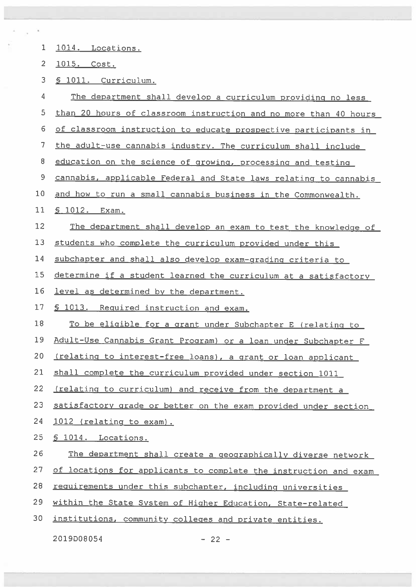| 1              | 1014. Locations.                                                 |
|----------------|------------------------------------------------------------------|
| $\overline{2}$ | <u>1015. Cost.</u>                                               |
| 3              | S 1011. Curriculum.                                              |
| 4              | The department shall develop a curriculum providing no less      |
| 5              | than 20 hours of classroom instruction and no more than 40 hours |
| 6              | of classroom instruction to educate prospective participants in  |
| 7              | the adult-use cannabis industry. The curriculum shall include    |
| 8              | education on the science of growing, processing and testing      |
| 9              | cannabis, applicable Federal and State laws relating to cannabis |
| 10             | and how to run a small cannabis business in the Commonwealth.    |
| 11             | <u>S 1012. Exam.</u>                                             |
| 12             | The department shall develop an exam to test the knowledge of    |
| 13             | students who complete the curriculum provided under this         |
| 14             | subchapter and shall also develop exam-grading criteria to       |
| 15             | determine if a student learned the curriculum at a satisfactory  |
| 16             | level as determined by the department.                           |
| 17             | § 1013. Required instruction and exam.                           |
| 18             | To be eligible for a grant under Subchapter E (relating to       |
| 19             | Adult-Use Cannabis Grant Program) or a loan under Subchapter F   |
| 20             | (relating to interest-free loans), a grant or loan applicant     |
| 21             | shall complete the curriculum provided under section 1011        |
| 22             | (relating to curriculum) and receive from the department a       |
| 23             | satisfactory grade or better on the exam provided under section  |
| 24             | 1012 (relating to exam).                                         |
| 25             | § 1014. Locations.                                               |
| 26             | The department shall create a geographically diverse network     |
| 27             | of locations for applicants to complete the instruction and exam |
| 28             | requirements under this subchapter, including universities       |
| 29             | within the State System of Higher Education, State-related       |
| 30             | institutions, community colleges and private entities.           |
|                |                                                                  |

 $-22 -$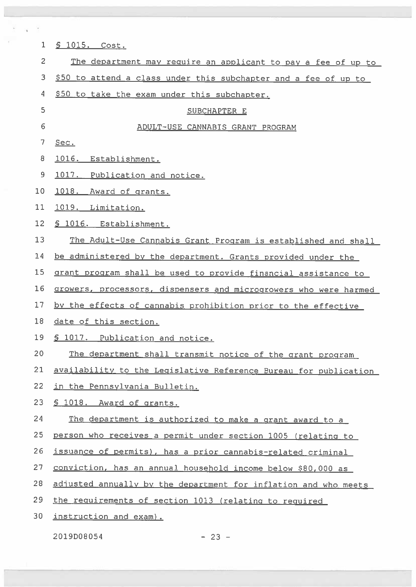| 1              | <u>§ 1015. Cost.</u>                                             |
|----------------|------------------------------------------------------------------|
| $\overline{c}$ | The department may require an applicant to pay a fee of up to    |
| 3              | \$50 to attend a class under this subchapter and a fee of up to  |
| 4              | \$50 to take the exam under this subchapter.                     |
| 5              | SUBCHAPTER E                                                     |
| $\epsilon$     | ADULT-USE CANNABIS GRANT PROGRAM                                 |
| $\overline{7}$ | Sec.                                                             |
| 8              | 1016. Establishment.                                             |
| 9              | 1017. Publication and notice.                                    |
| 10             | 1018. Award of grants.                                           |
| 11             | 1019. Limitation.                                                |
| 12             | § 1016. Establishment.                                           |
| 13             | The Adult-Use Cannabis Grant Program is established and shall    |
| 14             | be administered by the department. Grants provided under the     |
| 15             | grant program shall be used to provide financial assistance to   |
| 16             | growers, processors, dispensers and microgrowers who were harmed |
| 17             | by the effects of cannabis prohibition prior to the effective    |
| 18             | date of this section.                                            |
| 19             | § 1017. Publication and notice.                                  |
| 20             | The department shall transmit notice of the grant program        |
| 21             | availability to the Legislative Reference Bureau for publication |
| 22             | in the Pennsylvania Bulletin.                                    |
| 23             | S 1018. Award of grants.                                         |
| 24             | The department is authorized to make a grant award to a          |
| 25             | person who receives a permit under section 1005 (relating to     |
| 26             | issuance of permits), has a prior cannabis-related criminal      |
| 27             | conviction, has an annual household income below \$80,000 as     |
| 28             | adjusted annually by the department for inflation and who meets  |
| 29             | the requirements of section 1013 (relating to required           |
| 30             | instruction and exam).                                           |
|                |                                                                  |

2019008054

L

 $\sim$ 

 $\mathcal{L}$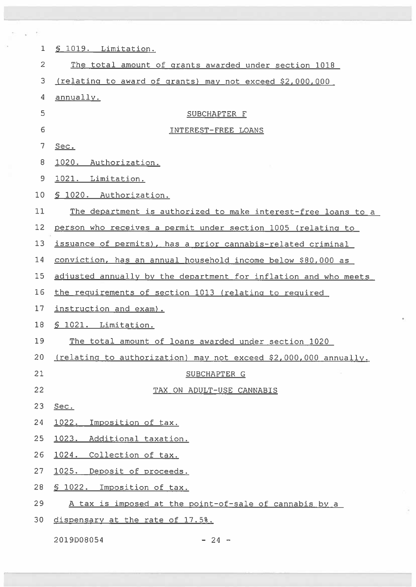| 1               | <u>S 1019. Limitation.</u>                                       |
|-----------------|------------------------------------------------------------------|
| $\overline{2}$  | The total amount of grants awarded under section 1018            |
| 3               | (relating to award of grants) may not exceed \$2,000,000         |
| 4               | annually.                                                        |
| 5               | SUBCHAPTER F                                                     |
| 6               | INTEREST-FREE LOANS                                              |
| 7               | Sec.                                                             |
| 8               | 1020. Authorization.                                             |
| 9               | 1021. Limitation.                                                |
| 10              | § 1020. Authorization.                                           |
| 11              | The department is authorized to make interest-free loans to a    |
| 12              | person who receives a permit under section 1005 (relating to     |
| 13              | issuance of permits), has a prior cannabis-related criminal      |
| 14              | conviction, has an annual household income below \$80,000 as     |
| 15              | adjusted annually by the department for inflation and who meets  |
| 16              | the requirements of section 1013 (relating to required           |
| 17              | instruction and exam).                                           |
| 18              | S 1021. Limitation.                                              |
| 19              | The total amount of loans awarded under section 1020             |
| 20 <sub>2</sub> | (relating to authorization) may not exceed \$2,000,000 annually. |
| 21              | SUBCHAPTER G                                                     |
| 22              | TAX ON ADULT-USE CANNABIS                                        |
| 23              | Sec.                                                             |
| 24              | 1022.<br>Imposition of tax.                                      |
| 25              | 1023. Additional taxation.                                       |
| 26              | 1024. Collection of tax.                                         |
| 27              | 1025. Deposit of proceeds.                                       |
| 28              | \$ 1022. Imposition of tax.                                      |
| 29              | A tax is imposed at the point-of-sale of cannabis by a           |
| 30              | dispensary at the rate of 17.5%.                                 |

2019008054 — 24 —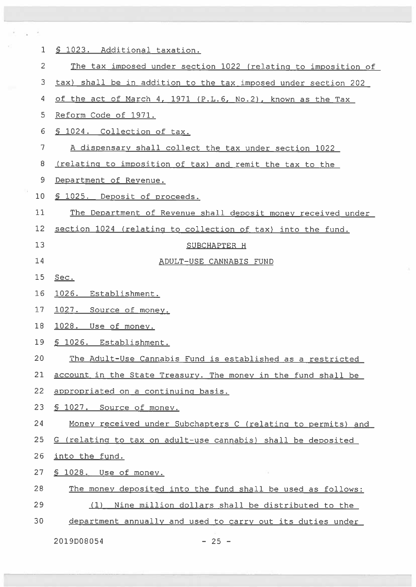| $\mathbf{1}$   | § 1023. Additional taxation.                                   |
|----------------|----------------------------------------------------------------|
| $\overline{2}$ | The tax imposed under section 1022 (relating to imposition of  |
| 3              | tax) shall be in addition to the tax imposed under section 202 |
| 4              | of the act of March 4, 1971 (P.L.6, No.2), known as the Tax    |
| 5              | Reform Code of 1971.                                           |
| 6              | § 1024. Collection of tax.                                     |
| 7              | A dispensary shall collect the tax under section 1022          |
| 8              | (relating to imposition of tax) and remit the tax to the       |
| 9              | Department of Revenue.                                         |
| 10             | § 1025. Deposit of proceeds.                                   |
| 11             | The Department of Revenue shall deposit money received under   |
| 12             | section 1024 (relating to collection of tax) into the fund.    |
| 13             | SUBCHAPTER H                                                   |
| 14             | ADULT-USE CANNABIS FUND                                        |
| 15             | Sec.                                                           |
| 16             | 1026. Establishment.                                           |
| 17             | 1027. Source of money.                                         |
| 18             | 1028. Use of money.                                            |
| 19             | S 1026. Establishment.                                         |
| 20             | The Adult-Use Cannabis Fund is established as a restricted     |
| 21             | account in the State Treasury. The money in the fund shall be  |
| 22             | appropriated on a continuing basis.                            |
| 23             | § 1027. Source of money.                                       |
| 24             | Money received under Subchapters C (relating to permits) and   |
| 25             | G (relating to tax on adult-use cannabis) shall be deposited   |
| 26             | into the fund.                                                 |
| 27             | § 1028. Use of money.                                          |
| 28             | The money deposited into the fund shall be used as follows:    |
| 29             | Nine million dollars shall be distributed to the<br>(1)        |
| 30             | department annually and used to carry out its duties under     |
|                | 2019D08054<br>$-25 -$                                          |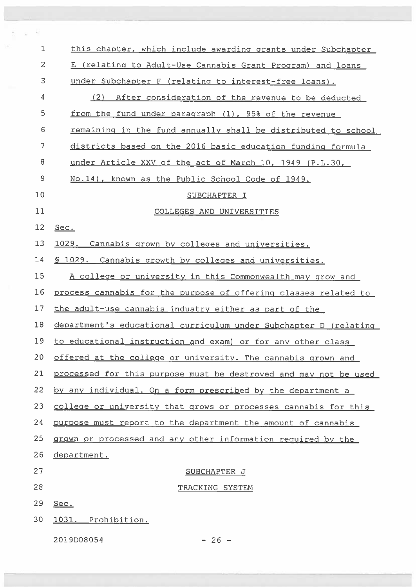| 1              | this chapter, which include awarding grants under Subchapter     |
|----------------|------------------------------------------------------------------|
| $\overline{c}$ | E (relating to Adult-Use Cannabis Grant Program) and loans       |
| 3              | under Subchapter F (relating to interest-free loans).            |
| 4              | (2) After consideration of the revenue to be deducted            |
| 5              | from the fund under paragraph (1), 95% of the revenue            |
| 6              | remaining in the fund annually shall be distributed to school    |
| 7              | districts based on the 2016 basic education funding formula      |
| 8              | under Article XXV of the act of March 10, 1949 (P.L.30,          |
| 9              | No.14), known as the Public School Code of 1949.                 |
| 10             | SUBCHAPTER I                                                     |
| 11             | COLLEGES AND UNIVERSITIES                                        |
| 12             | Sec.                                                             |
| 13             | 1029. Cannabis grown by colleges and universities.               |
| 14             | 5 1029. Cannabis growth by colleges and universities.            |
| 15             | A college or university in this Commonwealth may grow and        |
| 16             | process cannabis for the purpose of offering classes related to  |
| 17             | the adult-use cannabis industry either as part of the            |
| 18             | department's educational curriculum under Subchapter D (relating |
| 19             | to educational instruction and exam) or for any other class      |
| 20             | offered at the college or university. The cannabis grown and     |
| 21             | processed for this purpose must be destroyed and may not be used |
| 22             | by any individual. On a form prescribed by the department a      |
| 23             | college or university that grows or processes cannabis for this  |
| 24             | purpose must report to the department the amount of cannabis     |
| 25             | grown or processed and any other information required by the     |
| 26             | department.                                                      |
| 27             | SUBCHAPTER J                                                     |
| 28             | TRACKING SYSTEM                                                  |
| 29             | Sec.                                                             |
| 30             | 1031. Prohibition.                                               |
|                | 2019D08054<br>$-26 -$                                            |

Ŷ. ċ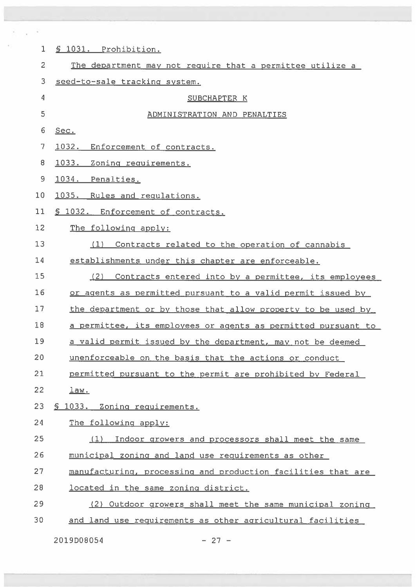| $\mathbf 1$ | § 1031. Prohibition.                                          |
|-------------|---------------------------------------------------------------|
| 2           | The department may not require that a permittee utilize a     |
| 3           | seed-to-sale tracking system.                                 |
| 4           | SUBCHAPTER K                                                  |
| 5           | ADMINISTRATION AND PENALTIES                                  |
| 6           | Sec.                                                          |
| 7           | 1032.<br>Enforcement of contracts.                            |
| 8           | 1033. Zoning requirements.                                    |
| 9           | 1034. Penalties.                                              |
| 10          | 1035. Rules and requlations.                                  |
| 11          | § 1032. Enforcement of contracts.                             |
| 12          | The following apply:                                          |
| 13          | (1) Contracts related to the operation of cannabis            |
| 14          | establishments under this chapter are enforceable.            |
| 15          | (2)<br>Contracts entered into by a permittee, its employees   |
| 16          | or agents as permitted pursuant to a valid permit issued by   |
| 17          | the department or by those that allow property to be used by  |
| 18          | a permittee, its employees or agents as permitted pursuant to |
| 19          | a valid permit issued by the department, may not be deemed    |
| 20          | unenforceable on the basis that the actions or conduct        |
| 21          | permitted pursuant to the permit are prohibited by Federal    |
| 22          | <u>law.</u>                                                   |
| 23          | § 1033. Zoning requirements.                                  |
| 24          | The following apply:                                          |
| 25          | Indoor growers and processors shall meet the same<br>(1)      |
| 26          | municipal zoning and land use requirements as other           |
| 27          | manufacturing, processing and production facilities that are  |
| 28          | located in the same zoning district.                          |
| 29          | (2) Outdoor growers shall meet the same municipal zoning      |
| 30          | and land use requirements as other agricultural facilities    |

2019D08054 — 27 —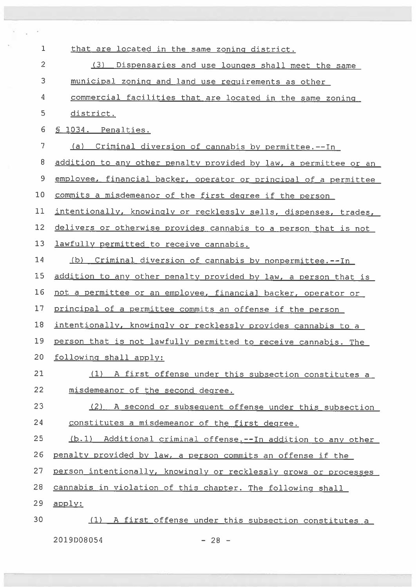| $\mathbf 1$    | that are located in the same zoning district.                    |
|----------------|------------------------------------------------------------------|
| $\overline{2}$ | (3)<br>Dispensaries and use lounges shall meet the same          |
| 3              | municipal zoning and land use requirements as other              |
| 4              | commercial facilities that are located in the same zoning        |
| 5              | district.                                                        |
| 6              | § 1034. Penalties.                                               |
| 7              | (a) Criminal diversion of cannabis by permittee.--In             |
| 8              | addition to any other penalty provided by law, a permittee or an |
| 9              | employee, financial backer, operator or principal of a permittee |
| 10             | commits a misdemeanor of the first degree if the person          |
| 11             | intentionally, knowingly or recklessly sells, dispenses, trades, |
| 12             | delivers or otherwise provides cannabis to a person that is not  |
| 13             | lawfully permitted to receive cannabis.                          |
| 14             | (b) Criminal diversion of cannabis by nonpermittee.--In          |
| 15             | addition to any other penalty provided by law, a person that is  |
| 16             | not a permittee or an employee, financial backer, operator or    |
| 17             | principal of a permittee commits an offense if the person        |
| 18             | intentionally, knowingly or recklessly provides cannabis to a    |
| 19             | person that is not lawfully permitted to receive cannabis. The   |
| 20             | following shall apply:                                           |
| 21             | (1) A first offense under this subsection constitutes a          |
| 22             | misdemeanor of the second degree.                                |
| 23             | (2)<br>A second or subsequent offense under this subsection      |
| 24             | constitutes a misdemeanor of the first degree.                   |
| 25             | (b.1) Additional criminal offense.--In addition to any other     |
| 26             | penalty provided by law, a person commits an offense if the      |
| 27             | person intentionally, knowingly or recklessly grows or processes |
| 28             | cannabis in violation of this chapter. The following shall       |
| 29             | $a$ pply:                                                        |
| 30             | (1) A first offense under this subsection constitutes a          |
|                | 2019D08054<br>$-28 -$                                            |

 $\tau_{\rm c}$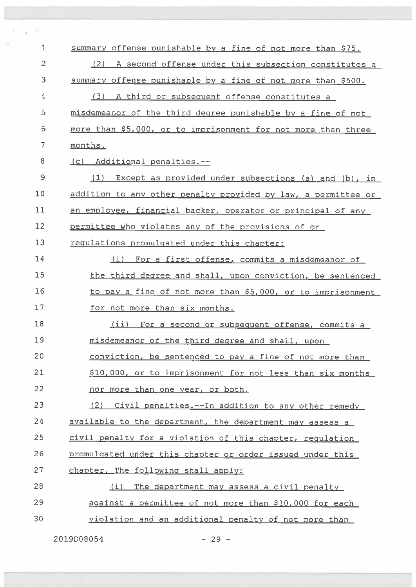| 1              | summary offense punishable by a fine of not more than \$75.   |
|----------------|---------------------------------------------------------------|
| $\overline{c}$ | (2) A second offense under this subsection constitutes a      |
| 3              | summary offense punishable by a fine of not more than \$500.  |
| 4              | (3) A third or subsequent offense constitutes a               |
| 5              | misdemeanor of the third degree punishable by a fine of not   |
| 6              | more than \$5,000, or to imprisonment for not more than three |
| 7              | months.                                                       |
| 8              | (c) Additional penalties.--                                   |
| 9              | $(1)$ Except as provided under subsections (a) and (b), in    |
| 10             | addition to any other penalty provided by law, a permittee or |
| 11             | an employee, financial backer, operator or principal of any   |
| 12             | permittee who violates any of the provisions of or            |
| 13             | requlations promulgated under this chapter:                   |
| 14             | (i) For a first offense, commits a misdemeanor of             |
| 15             | the third degree and shall, upon conviction, be sentenced     |
| 16             | to pay a fine of not more than \$5,000, or to imprisonment    |
| 17             | for not more than six months.                                 |
| 18             | (ii) For a second or subsequent offense, commits a            |
| 19             | misdemeanor of the third degree and shall, upon               |
| 20             | conviction, be sentenced to pay a fine of not more than       |
| 21             | \$10,000, or to imprisonment for not less than six months     |
| 22             | nor more than one year, or both.                              |
| 23             | (2) Civil penalties.--In addition to any other remedy         |
| 24             | available to the department, the department may assess a      |
| 25             | civil penalty for a violation of this chapter, requlation     |
| 26             | promulgated under this chapter or order issued under this     |
| 27             | chapter. The following shall apply:                           |
| 28             | The department may assess a civil penalty<br>(i)              |
| 29             | against a permittee of not more than \$10,000 for each        |
| 30             | violation and an additional penalty of not more than          |
|                |                                                               |

 $2019D08054$  - 29 -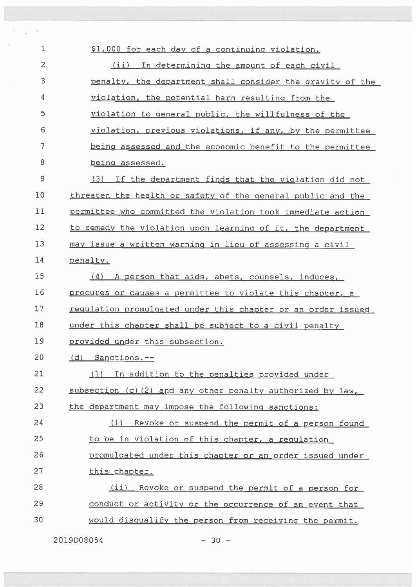\$1,000 for each day of <sup>a</sup> continuing violation. (ii) In determining the amount of each civil penalty, the department shall consider the gravity of the violation, the potential harm resulting from the violation to genera<sup>l</sup> public, the willfulness of the violation, previous violations, if any, by the permittee being assessed and the economic benefit to the permittee 8 being assessed. (3) If the department finds that the violation did not threaten the health or safety of the genera<sup>l</sup> public and the permittee who committed the violation took immediate action 12 to remedy the violation upon learning of it, the department may issue <sup>a</sup> written warnino in lieu of assessing <sup>a</sup> civil <sup>14</sup> penalty. (4) A nerson that aids, abets, counsels, induces, procures or causes <sup>a</sup> permittee to violate this chapter, <sup>a</sup> 17 regulation promulgated under this chapter or an order issued under this chapter shall be subiect to <sup>a</sup> civil penalty provided under this subsection. Cd) Sanctions.—— (1) In addition to the penalties provided under 22 subsection (c) (2) and any other penalty authorized by law, 23 the department may impose the following sanctions: (i) Revoke or suspen<sup>d</sup> the permit of <sup>a</sup> person found 25 to be in violation of this chapter, a regulation promulgated under this chapter or an order issued under this chapter. 28 (ii) Revoke or suspend the permit of a person for conduct or activity or the occurrence of an event that would disgualify the person from receiving the permit.

2019008054 — 30 —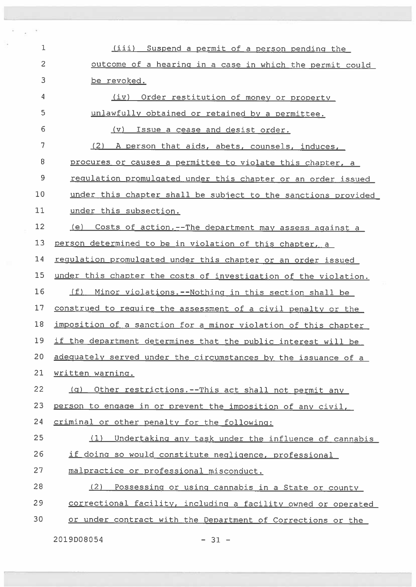| 1              | (iii) Suspend a permit of a person pending the                  |
|----------------|-----------------------------------------------------------------|
| $\overline{c}$ | outcome of a hearing in a case in which the permit could        |
| 3              | be revoked.                                                     |
| 4              | (iv)<br>Order restitution of money or property                  |
| 5              | unlawfully obtained or retained by a permittee.                 |
| 6              | (v) Issue a cease and desist order.                             |
| 7              | (2) A person that aids, abets, counsels, induces,               |
| 8              | procures or causes a permittee to violate this chapter, a       |
| 9              | requiation promulgated under this chapter or an order issued    |
| 10             | under this chapter shall be subject to the sanctions provided   |
| 11             | under this subsection.                                          |
| 12             | (e) Costs of action.--The department may assess against a       |
| 13             | person determined to be in violation of this chapter, a         |
| 14             | requlation promulgated under this chapter or an order issued    |
| 15             | under this chapter the costs of investigation of the violation. |
| 16             | (f) Minor violations.--Nothing in this section shall be         |
| 17             | construed to require the assessment of a civil penalty or the   |
| 18             | imposition of a sanction for a minor violation of this chapter  |
| 19             | if the department determines that the public interest will be   |
| 20             | adequately served under the circumstances by the issuance of a  |
| 21             | written warning.                                                |
| 22             | Other restrictions.--This act shall not permit any<br>(q)       |
| 23             | person to engage in or prevent the imposition of any civil,     |
| 24             | criminal or other penalty for the following:                    |
| 25             | Undertaking any task under the influence of cannabis<br>(1)     |
| 26             | if doing so would constitute negligence, professional           |
| 27             | malpractice or professional misconduct.                         |
| 28             | (2)<br>Possessing or using cannabis in a State or county        |
| 29             | correctional facility, including a facility owned or operated   |
| 30             | or under contract with the Department of Corrections or the     |

2019008054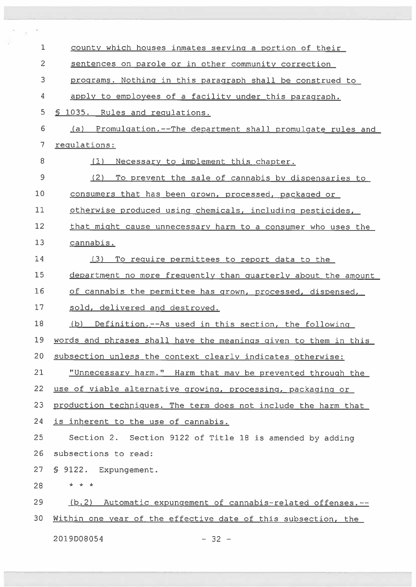| $\mathbf 1$    | county which houses inmates serving a portion of their          |
|----------------|-----------------------------------------------------------------|
| $\overline{c}$ | sentences on parole or in other community correction            |
| 3              | programs. Nothing in this paragraph shall be construed to       |
| 4              | apply to employees of a facility under this paragraph.          |
| 5              | § 1035. Rules and requlations.                                  |
| 6              | (a) Promulgation.--The department shall promulgate rules and    |
| 7              | requlations:                                                    |
| 8              | Necessary to implement this chapter.<br>(1)                     |
| 9              | (2)<br>To prevent the sale of cannabis by dispensaries to       |
| 10             | consumers that has been grown, processed, packaged or           |
| 11             | otherwise produced using chemicals, including pesticides,       |
| 12             | that might cause unnecessary harm to a consumer who uses the    |
| 13             | cannabis.                                                       |
| 14             | (3)<br>To require permittees to report data to the              |
| 15             | department no more frequently than quarterly about the amount   |
| 16             | of cannabis the permittee has grown, processed, dispensed,      |
| 17             | sold, delivered and destroyed.                                  |
| 18             | (b) Definition.--As used in this section, the following         |
| 19             | words and phrases shall have the meanings given to them in this |
| 20             | subsection unless the context clearly indicates otherwise:      |
| 21             | "Unnecessary harm." Harm that may be prevented through the      |
| 22             | use of viable alternative growing, processing, packaging or     |
| 23             | production techniques. The term does not include the harm that  |
| 24             | is inherent to the use of cannabis.                             |
| 25             | Section 2. Section 9122 of Title 18 is amended by adding        |
| 26             | subsections to read:                                            |
| 27             | § 9122. Expungement.                                            |
| 28             | * * *                                                           |
| 29             | (b.2) Automatic expungement of cannabis-related offenses.--     |
| 30             | Within one year of the effective date of this subsection, the   |
|                | 2019D08054<br>$-32 -$                                           |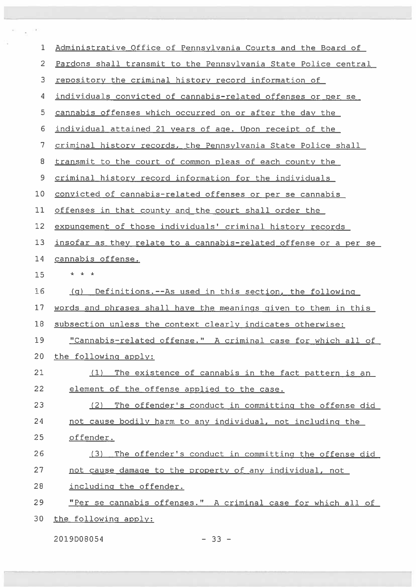| $\mathbf{1}$   | Administrative Office of Pennsylvania Courts and the Board of                        |
|----------------|--------------------------------------------------------------------------------------|
| $\overline{2}$ | Pardons shall transmit to the Pennsylvania State Police central                      |
| 3              | repository the criminal history record information of                                |
| 4              | individuals convicted of cannabis-related offenses or per se                         |
| 5              | cannabis offenses which occurred on or after the day the                             |
| 6              | individual attained 21 years of age. Upon receipt of the                             |
| 7              | criminal history records, the Pennsylvania State Police shall                        |
| 8              | transmit to the court of common pleas of each county the                             |
| 9              | criminal history record information for the individuals                              |
| 10             | convicted of cannabis-related offenses or per se cannabis                            |
| 11             | offenses in that county and the court shall order the                                |
| 12             | expungement of those individuals' criminal history records                           |
| 13             | insofar as they relate to a cannabis-related offense or a per se                     |
| 14             | cannabis offense.                                                                    |
| 15             | * * *                                                                                |
| 16             | Definitions.--As used in this section, the following<br>$\langle \mathsf{q} \rangle$ |
| 17             | words and phrases shall have the meanings given to them in this                      |
| 18             | subsection unless the context clearly indicates otherwise:                           |
| 19             | "Cannabis-related offense." A criminal case for which all of                         |
| 20             | the following apply:                                                                 |
| 21             | (1) The existence of cannabis in the fact pattern is an                              |
| 22             | element of the offense applied to the case.                                          |
| 23             | The offender's conduct in committing the offense did<br>(2)                          |
| 24             | not cause bodily harm to any individual, not including the                           |
| 25             | offender.                                                                            |
| 26             | The offender's conduct in committing the offense did<br>(3)                          |
| 27             | not cause damage to the property of any individual, not                              |
| 28             | including the offender.                                                              |
| 29             | "Per se cannabis offenses." A criminal case for which all of                         |
| 30             | the following apply:                                                                 |

2019D08054 — 33 —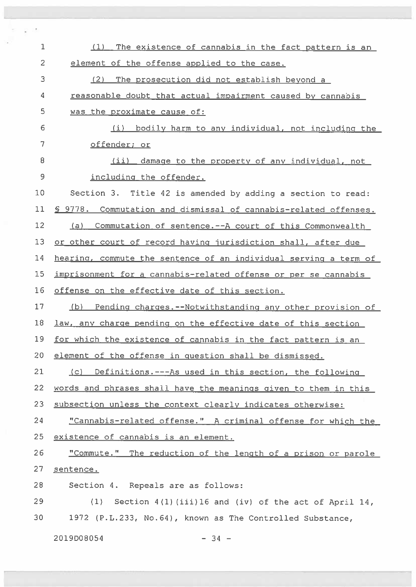| 1              | The existence of cannabis in the fact pattern is an<br>(1)       |
|----------------|------------------------------------------------------------------|
| $\overline{c}$ | element of the offense applied to the case.                      |
| 3              | (2) The prosecution did not establish beyond a                   |
| 4              | reasonable doubt that actual impairment caused by cannabis       |
| 5              | was the proximate cause of:                                      |
| 6              | bodily harm to any individual, not including the<br>(i)          |
| 7              | offender; or                                                     |
| 8              | (ii) damage to the property of any individual, not               |
| 9              | including the offender.                                          |
| 10             | Section 3. Title 42 is amended by adding a section to read:      |
| 11             | \$ 9778. Commutation and dismissal of cannabis-related offenses. |
| 12             | (a) Commutation of sentence.--A court of this Commonwealth       |
| 13             | or other court of record having jurisdiction shall, after due    |
| 14             | hearing, commute the sentence of an individual serving a term of |
| 15             | imprisonment for a cannabis-related offense or per se cannabis   |
| 16             | offense on the effective date of this section.                   |
| 17             | (b) Pending charges.--Notwithstanding any other provision of     |
| 18             | law, any charge pending on the effective date of this section    |
| 19             | for which the existence of cannabis in the fact pattern is an    |
| 20             | element of the offense in question shall be dismissed.           |
| 21             | (c) Definitions.---As used in this section, the following        |
| 22             | words and phrases shall have the meanings given to them in this  |
| 23             | subsection unless the context clearly indicates otherwise:       |
| 24             | "Cannabis-related offense." A criminal offense for which the     |
| 25             | existence of cannabis is an element.                             |
| 26             | "Commute." The reduction of the length of a prison or parole     |
| 27             | sentence.                                                        |
| 28             | Section 4. Repeals are as follows:                               |
| 29             | (1)<br>Section $4(1)$ (iii)16 and (iv) of the act of April 14,   |
| 30             | 1972 (P.L.233, No.64), known as The Controlled Substance,        |
|                | 2019D08054<br>$-34 -$                                            |

 $\mathcal{C}=\mathcal{C}$  . We

s.